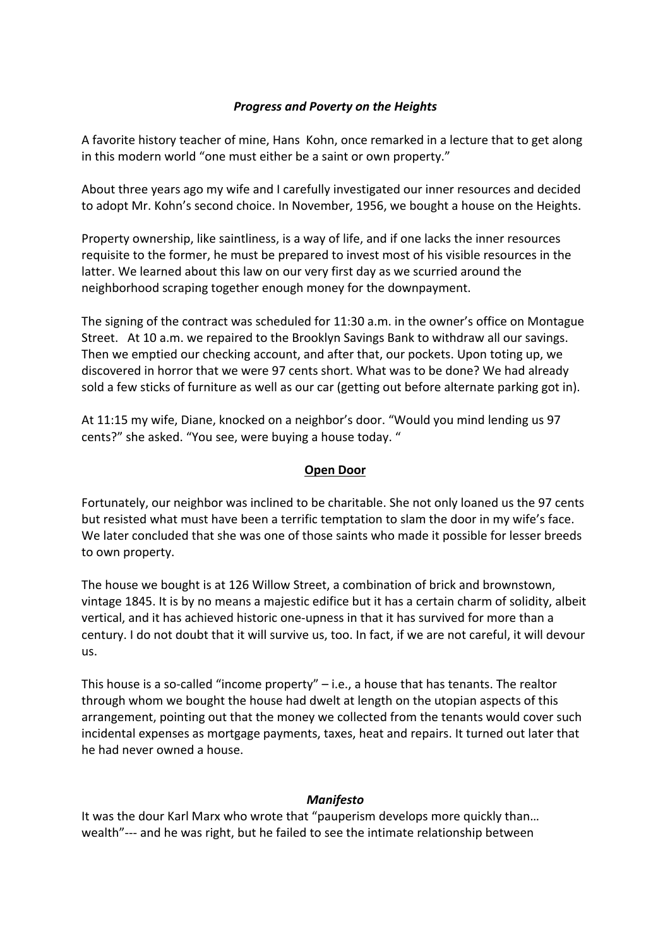## *Progress and Poverty on the Heights*

A favorite history teacher of mine, Hans Kohn, once remarked in a lecture that to get along in this modern world "one must either be a saint or own property."

About three years ago my wife and I carefully investigated our inner resources and decided to adopt Mr. Kohn's second choice. In November, 1956, we bought a house on the Heights.

Property ownership, like saintliness, is a way of life, and if one lacks the inner resources requisite to the former, he must be prepared to invest most of his visible resources in the latter. We learned about this law on our very first day as we scurried around the neighborhood scraping together enough money for the downpayment.

The signing of the contract was scheduled for 11:30 a.m. in the owner's office on Montague Street. At 10 a.m. we repaired to the Brooklyn Savings Bank to withdraw all our savings. Then we emptied our checking account, and after that, our pockets. Upon toting up, we discovered in horror that we were 97 cents short. What was to be done? We had already sold a few sticks of furniture as well as our car (getting out before alternate parking got in).

At 11:15 my wife, Diane, knocked on a neighbor's door. "Would you mind lending us 97 cents?" she asked. "You see, were buying a house today. "

## **Open Door**

Fortunately, our neighbor was inclined to be charitable. She not only loaned us the 97 cents but resisted what must have been a terrific temptation to slam the door in my wife's face. We later concluded that she was one of those saints who made it possible for lesser breeds to own property.

The house we bought is at 126 Willow Street, a combination of brick and brownstown, vintage 1845. It is by no means a majestic edifice but it has a certain charm of solidity, albeit vertical, and it has achieved historic one-upness in that it has survived for more than a century. I do not doubt that it will survive us, too. In fact, if we are not careful, it will devour us.

This house is a so-called "income property"  $-$  i.e., a house that has tenants. The realtor through whom we bought the house had dwelt at length on the utopian aspects of this arrangement, pointing out that the money we collected from the tenants would cover such incidental expenses as mortgage payments, taxes, heat and repairs. It turned out later that he had never owned a house.

## *Manifesto*

It was the dour Karl Marx who wrote that "pauperism develops more quickly than... wealth"--- and he was right, but he failed to see the intimate relationship between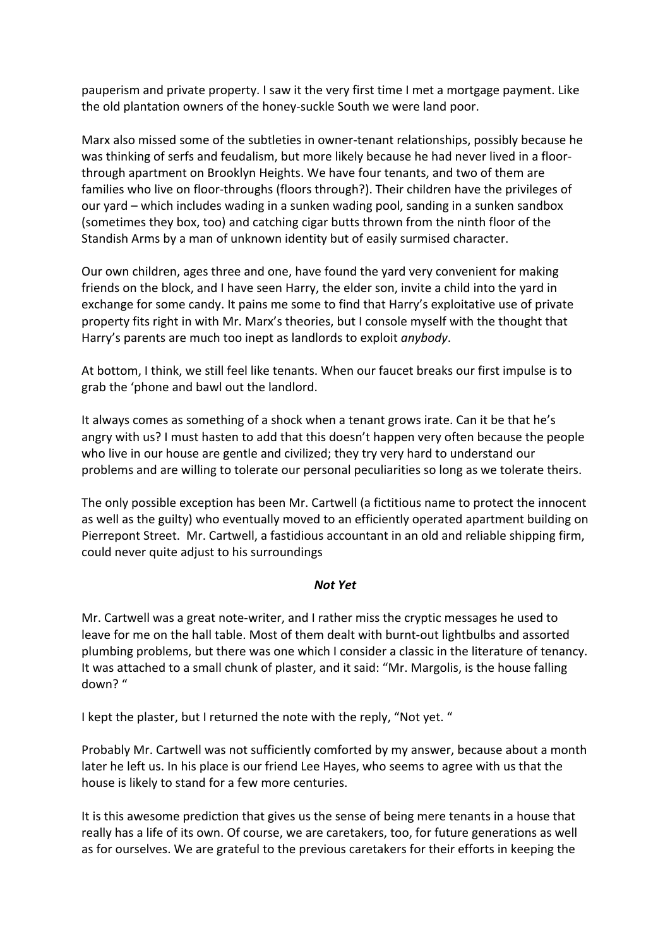pauperism and private property. I saw it the very first time I met a mortgage payment. Like the old plantation owners of the honey-suckle South we were land poor.

Marx also missed some of the subtleties in owner-tenant relationships, possibly because he was thinking of serfs and feudalism, but more likely because he had never lived in a floorthrough apartment on Brooklyn Heights. We have four tenants, and two of them are families who live on floor-throughs (floors through?). Their children have the privileges of our vard – which includes wading in a sunken wading pool, sanding in a sunken sandbox (sometimes they box, too) and catching cigar butts thrown from the ninth floor of the Standish Arms by a man of unknown identity but of easily surmised character.

Our own children, ages three and one, have found the yard very convenient for making friends on the block, and I have seen Harry, the elder son, invite a child into the yard in exchange for some candy. It pains me some to find that Harry's exploitative use of private property fits right in with Mr. Marx's theories, but I console myself with the thought that Harry's parents are much too inept as landlords to exploit *anybody*.

At bottom, I think, we still feel like tenants. When our faucet breaks our first impulse is to grab the 'phone and bawl out the landlord.

It always comes as something of a shock when a tenant grows irate. Can it be that he's angry with us? I must hasten to add that this doesn't happen very often because the people who live in our house are gentle and civilized; they try very hard to understand our problems and are willing to tolerate our personal peculiarities so long as we tolerate theirs.

The only possible exception has been Mr. Cartwell (a fictitious name to protect the innocent as well as the guilty) who eventually moved to an efficiently operated apartment building on Pierrepont Street. Mr. Cartwell, a fastidious accountant in an old and reliable shipping firm, could never quite adjust to his surroundings

## *Not Yet*

Mr. Cartwell was a great note-writer, and I rather miss the cryptic messages he used to leave for me on the hall table. Most of them dealt with burnt-out lightbulbs and assorted plumbing problems, but there was one which I consider a classic in the literature of tenancy. It was attached to a small chunk of plaster, and it said: "Mr. Margolis, is the house falling down? "

I kept the plaster, but I returned the note with the reply, "Not yet. "

Probably Mr. Cartwell was not sufficiently comforted by my answer, because about a month later he left us. In his place is our friend Lee Hayes, who seems to agree with us that the house is likely to stand for a few more centuries.

It is this awesome prediction that gives us the sense of being mere tenants in a house that really has a life of its own. Of course, we are caretakers, too, for future generations as well as for ourselves. We are grateful to the previous caretakers for their efforts in keeping the